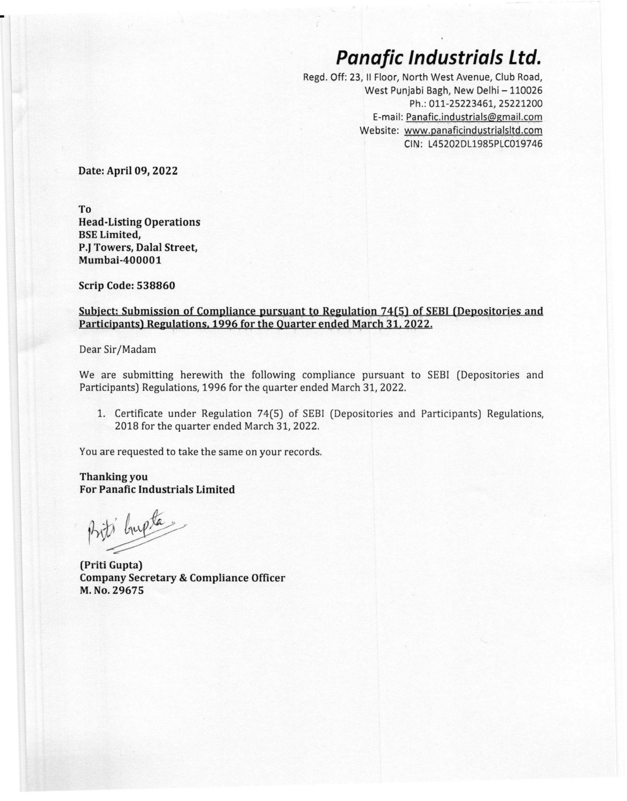## *Panafic Industrials Ltd.*

Regd. Off: 23, **II** Floor, North West Avenue, Club Road, West Punjabi Bagh, New Delhi - 110026 Ph.: 011-25223461, 25221200 E-mail: Panafic.industrials@gmail.com Website: [www.panaficindystrialsltd.com](http://www.panaficindystrialsltd.com) CIN: L45202DL1985PLC019746

**Date: April 09, 2022**

**To Head-Listing Operations BSELimited, P.}Towers, Dalal Street, Mumbai-400001**

**Scrip Code: 538860**

## **Subject:** Submission of Compliance pursuant to Regulation 74(5) of SEBI (Depositories and **Participants) Regulations**, **1996** for the Quarter ended March 31, 2022.

Dear Sir/Madam

We are submitting herewith the following compliance pursuant to SEBi (Depositories and Participants) Regulations, 1996 for the quarter ended March 31, 2022.

1. Certificate under Regulation 74(5) of SEBI (Depositories and Participants) Regulations, 2018 for the quarter ended March 31, 2022.

You are requested to take the same on your records.

**Thanking you For Panafic Industrials Limited**

Priti bupta.

**(Priti Gupta) Company Secretary & Compliance Officer M.No. 29675**